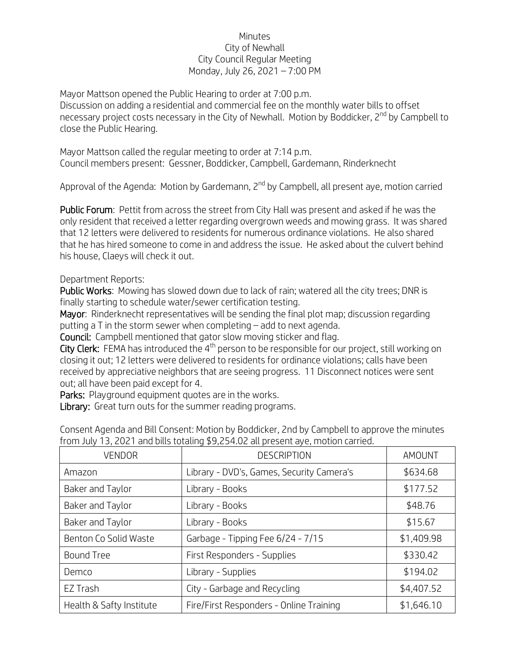## Minutes City of Newhall City Council Regular Meeting Monday, July 26, 2021 – 7:00 PM

Mayor Mattson opened the Public Hearing to order at 7:00 p.m. Discussion on adding a residential and commercial fee on the monthly water bills to offset necessary project costs necessary in the City of Newhall. Motion by Boddicker, 2<sup>nd</sup> by Campbell to close the Public Hearing.

Mayor Mattson called the regular meeting to order at 7:14 p.m. Council members present: Gessner, Boddicker, Campbell, Gardemann, Rinderknecht

Approval of the Agenda: Motion by Gardemann, 2<sup>nd</sup> by Campbell, all present ave, motion carried

Public Forum: Pettit from across the street from City Hall was present and asked if he was the only resident that received a letter regarding overgrown weeds and mowing grass. It was shared that 12 letters were delivered to residents for numerous ordinance violations. He also shared that he has hired someone to come in and address the issue. He asked about the culvert behind his house, Claeys will check it out.

## Department Reports:

Public Works: Mowing has slowed down due to lack of rain; watered all the city trees; DNR is finally starting to schedule water/sewer certification testing.

Mayor: Rinderknecht representatives will be sending the final plot map; discussion regarding putting a T in the storm sewer when completing – add to next agenda.

Council: Campbell mentioned that gator slow moving sticker and flag.

City Clerk: FEMA has introduced the 4<sup>th</sup> person to be responsible for our project, still working on closing it out; 12 letters were delivered to residents for ordinance violations; calls have been received by appreciative neighbors that are seeing progress. 11 Disconnect notices were sent out; all have been paid except for 4.

Parks: Playground equipment quotes are in the works.

Library: Great turn outs for the summer reading programs.

| <b>VENDOR</b>            | <b>DESCRIPTION</b>                        | AMOUNT     |
|--------------------------|-------------------------------------------|------------|
| Amazon                   | Library - DVD's, Games, Security Camera's | \$634.68   |
| Baker and Taylor         | Library - Books                           | \$177.52   |
| Baker and Taylor         | Library - Books                           | \$48.76    |
| Baker and Taylor         | Library - Books                           | \$15.67    |
| Benton Co Solid Waste    | Garbage - Tipping Fee 6/24 - 7/15         | \$1,409.98 |
| <b>Bound Tree</b>        | First Responders - Supplies               | \$330.42   |
| Demco                    | Library - Supplies                        | \$194.02   |
| EZ Trash                 | City - Garbage and Recycling              | \$4,407.52 |
| Health & Safty Institute | Fire/First Responders - Online Training   | \$1,646.10 |

Consent Agenda and Bill Consent: Motion by Boddicker, 2nd by Campbell to approve the minutes from July 13, 2021 and bills totaling \$9,254.02 all present aye, motion carried.